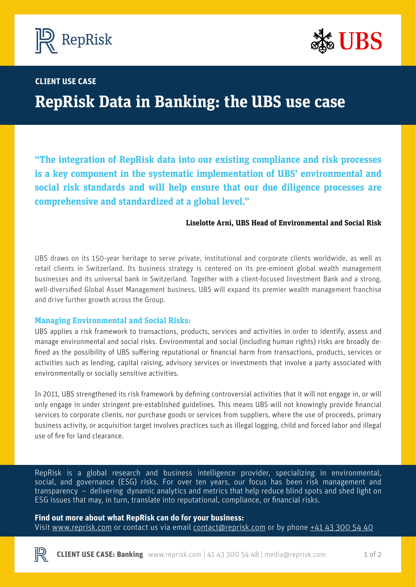



# **BP CASE STUDY CLIENT USE CASE**

# **RepRisk Data in Banking: the UBS use case**

**"The integration of RepRisk data into our existing compliance and risk processes is a key component in the systematic implementation of UBS' environmental and social risk standards and will help ensure that our due diligence processes are comprehensive and standardized at a global level."**

#### **Liselotte Arni, UBS Head of Environmental and Social Risk**

UBS draws on its 150-year heritage to serve private, institutional and corporate clients worldwide, as well as retail clients in Switzerland. Its business strategy is centered on its pre-eminent global wealth management businesses and its universal bank in Switzerland. Together with a client-focused Investment Bank and a strong, well-diversified Global Asset Management business, UBS will expand its premier wealth management franchise and drive further growth across the Group.

#### **Managing Environmental and Social Risks:**

UBS applies a risk framework to transactions, products, services and activities in order to identify, assess and manage environmental and social risks. Environmental and social (including human rights) risks are broadly defined as the possibility of UBS suffering reputational or financial harm from transactions, products, services or activities such as lending, capital raising, advisory services or investments that involve a party associated with environmentally or socially sensitive activities.

In 2011, UBS strengthened its risk framework by defining controversial activities that it will not engage in, or will only engage in under stringent pre-established guidelines. This means UBS will not knowingly provide financial services to corporate clients, nor purchase goods or services from suppliers, where the use of proceeds, primary business activity, or acquisition target involves practices such as illegal logging, child and forced labor and illegal use of fire for land clearance.

RepRisk is a global research and business intelligence provider, specializing in environmental, social, and governance (ESG) risks. For over ten years, our focus has been risk management and transparency – delivering dynamic analytics and metrics that help reduce blind spots and shed light on ESG issues that may, in turn, translate into reputational, compliance, or financial risks. 

#### **Find out more about what RepRisk can do for your business:**

Visit [www.reprisk.com](http://www.reprisk.com) or contact us via email [contact@reprisk.com](mailto:contact%40reprisk.com?subject=) or by phone  $\pm$ 41 43 300 54 40